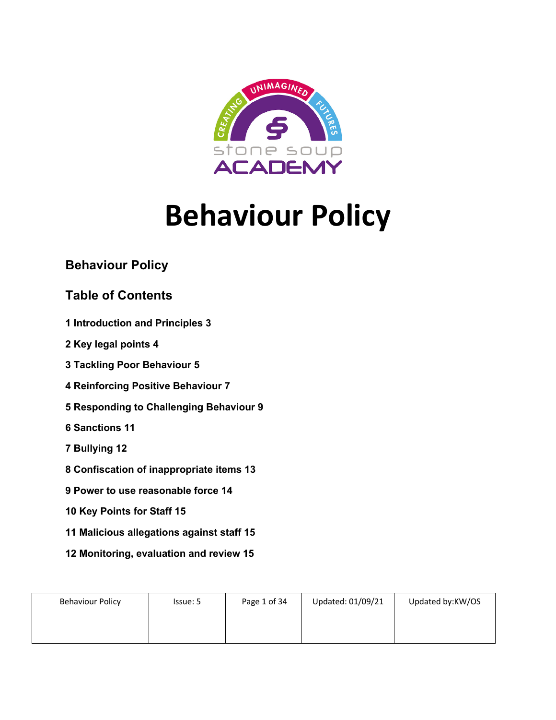

# **Behaviour Policy**

### **Behaviour Policy**

- **Table of Contents**
- **1 Introduction and Principles 3**
- **2 Key legal points 4**
- **3 Tackling Poor Behaviour 5**
- **4 Reinforcing Positive Behaviour 7**
- **5 Responding to Challenging Behaviour 9**
- **6 Sanctions 11**
- **7 Bullying 12**
- **8 Confiscation of inappropriate items 13**
- **9 Power to use reasonable force 14**
- **10 Key Points for Staff 15**
- **11 Malicious allegations against staff 15**
- **12 Monitoring, evaluation and review 15**

| <b>Behaviour Policy</b> | Issue: 5 | Page 1 of 34 | Updated: 01/09/21 | Updated by:KW/OS |
|-------------------------|----------|--------------|-------------------|------------------|
|                         |          |              |                   |                  |
|                         |          |              |                   |                  |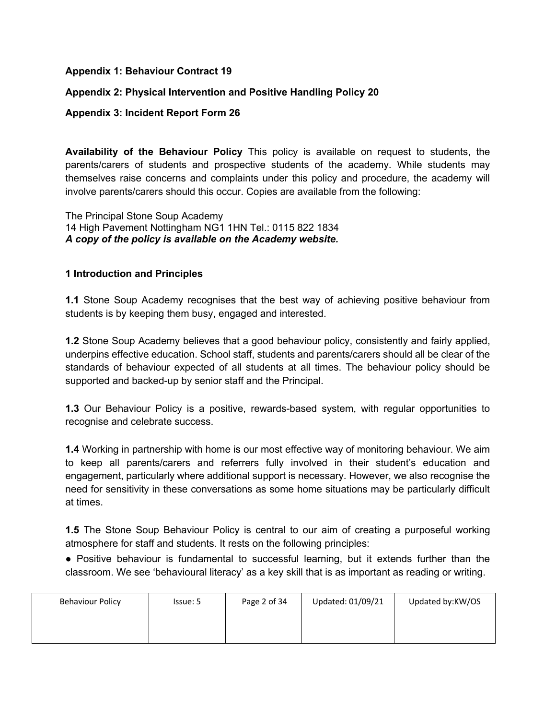#### **Appendix 1: Behaviour Contract 19**

#### **Appendix 2: Physical Intervention and Positive Handling Policy 20**

#### **Appendix 3: Incident Report Form 26**

**Availability of the Behaviour Policy** This policy is available on request to students, the parents/carers of students and prospective students of the academy. While students may themselves raise concerns and complaints under this policy and procedure, the academy will involve parents/carers should this occur. Copies are available from the following:

The Principal Stone Soup Academy 14 High Pavement Nottingham NG1 1HN Tel.: 0115 822 1834 *A copy of the policy is available on the Academy website.* 

#### **1 Introduction and Principles**

**1.1** Stone Soup Academy recognises that the best way of achieving positive behaviour from students is by keeping them busy, engaged and interested.

**1.2** Stone Soup Academy believes that a good behaviour policy, consistently and fairly applied, underpins effective education. School staff, students and parents/carers should all be clear of the standards of behaviour expected of all students at all times. The behaviour policy should be supported and backed-up by senior staff and the Principal.

**1.3** Our Behaviour Policy is a positive, rewards-based system, with regular opportunities to recognise and celebrate success.

**1.4** Working in partnership with home is our most effective way of monitoring behaviour. We aim to keep all parents/carers and referrers fully involved in their student's education and engagement, particularly where additional support is necessary. However, we also recognise the need for sensitivity in these conversations as some home situations may be particularly difficult at times.

**1.5** The Stone Soup Behaviour Policy is central to our aim of creating a purposeful working atmosphere for staff and students. It rests on the following principles:

● Positive behaviour is fundamental to successful learning, but it extends further than the classroom. We see 'behavioural literacy' as a key skill that is as important as reading or writing.

| <b>Behaviour Policy</b> | Issue: 5 | Page 2 of 34 | Updated: 01/09/21 | Updated by:KW/OS |
|-------------------------|----------|--------------|-------------------|------------------|
|                         |          |              |                   |                  |
|                         |          |              |                   |                  |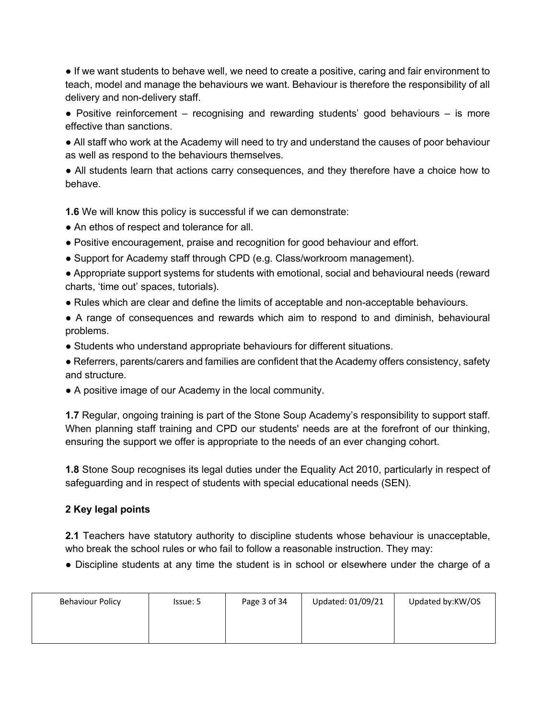● If we want students to behave well, we need to create a positive, caring and fair environment to teach, model and manage the behaviours we want. Behaviour is therefore the responsibility of all delivery and non-delivery staff.

• Positive reinforcement – recognising and rewarding students' good behaviours – is more effective than sanctions.

● All staff who work at the Academy will need to try and understand the causes of poor behaviour as well as respond to the behaviours themselves.

● All students learn that actions carry consequences, and they therefore have a choice how to behave.

**1.6** We will know this policy is successful if we can demonstrate:

- An ethos of respect and tolerance for all.
- Positive encouragement, praise and recognition for good behaviour and effort.
- Support for Academy staff through CPD (e.g. Class/workroom management).
- Appropriate support systems for students with emotional, social and behavioural needs (reward charts, 'time out' spaces, tutorials).
- Rules which are clear and define the limits of acceptable and non-acceptable behaviours.
- A range of consequences and rewards which aim to respond to and diminish, behavioural problems.
- Students who understand appropriate behaviours for different situations.
- Referrers, parents/carers and families are confident that the Academy offers consistency, safety and structure.
- A positive image of our Academy in the local community.

**1.7** Regular, ongoing training is part of the Stone Soup Academy's responsibility to support staff. When planning staff training and CPD our students' needs are at the forefront of our thinking, ensuring the support we offer is appropriate to the needs of an ever changing cohort.

**1.8** Stone Soup recognises its legal duties under the Equality Act 2010, particularly in respect of safeguarding and in respect of students with special educational needs (SEN).

#### **2 Key legal points**

**2.1** Teachers have statutory authority to discipline students whose behaviour is unacceptable, who break the school rules or who fail to follow a reasonable instruction. They may:

● Discipline students at any time the student is in school or elsewhere under the charge of a

| <b>Behaviour Policy</b> | Issue: 5 | Page 3 of 34 | Updated: 01/09/21 | Updated by:KW/OS |
|-------------------------|----------|--------------|-------------------|------------------|
|                         |          |              |                   |                  |
|                         |          |              |                   |                  |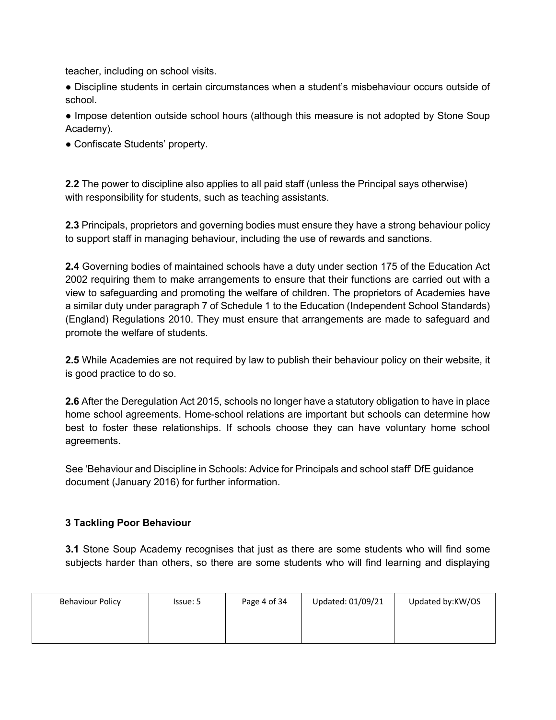teacher, including on school visits.

● Discipline students in certain circumstances when a student's misbehaviour occurs outside of school.

• Impose detention outside school hours (although this measure is not adopted by Stone Soup Academy).

● Confiscate Students' property.

**2.2** The power to discipline also applies to all paid staff (unless the Principal says otherwise) with responsibility for students, such as teaching assistants.

**2.3** Principals, proprietors and governing bodies must ensure they have a strong behaviour policy to support staff in managing behaviour, including the use of rewards and sanctions.

**2.4** Governing bodies of maintained schools have a duty under section 175 of the Education Act 2002 requiring them to make arrangements to ensure that their functions are carried out with a view to safeguarding and promoting the welfare of children. The proprietors of Academies have a similar duty under paragraph 7 of Schedule 1 to the Education (Independent School Standards) (England) Regulations 2010. They must ensure that arrangements are made to safeguard and promote the welfare of students.

**2.5** While Academies are not required by law to publish their behaviour policy on their website, it is good practice to do so.

**2.6** After the Deregulation Act 2015, schools no longer have a statutory obligation to have in place home school agreements. Home-school relations are important but schools can determine how best to foster these relationships. If schools choose they can have voluntary home school agreements.

See 'Behaviour and Discipline in Schools: Advice for Principals and school staff' DfE guidance document (January 2016) for further information.

#### **3 Tackling Poor Behaviour**

**3.1** Stone Soup Academy recognises that just as there are some students who will find some subjects harder than others, so there are some students who will find learning and displaying

| <b>Behaviour Policy</b> | Issue: 5 | Page 4 of 34 | Updated: 01/09/21 | Updated by:KW/OS |
|-------------------------|----------|--------------|-------------------|------------------|
|                         |          |              |                   |                  |
|                         |          |              |                   |                  |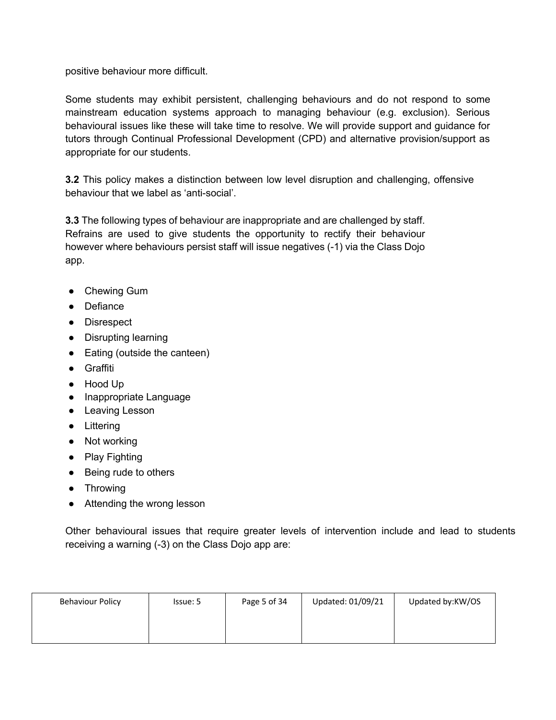positive behaviour more difficult.

Some students may exhibit persistent, challenging behaviours and do not respond to some mainstream education systems approach to managing behaviour (e.g. exclusion). Serious behavioural issues like these will take time to resolve. We will provide support and guidance for tutors through Continual Professional Development (CPD) and alternative provision/support as appropriate for our students.

**3.2** This policy makes a distinction between low level disruption and challenging, offensive behaviour that we label as 'anti-social'.

**3.3** The following types of behaviour are inappropriate and are challenged by staff. Refrains are used to give students the opportunity to rectify their behaviour however where behaviours persist staff will issue negatives (-1) via the Class Dojo app.

- Chewing Gum
- Defiance
- Disrespect
- Disrupting learning
- Eating (outside the canteen)
- Graffiti
- Hood Up
- Inappropriate Language
- Leaving Lesson
- Littering
- Not working
- Play Fighting
- Being rude to others
- Throwing
- Attending the wrong lesson

Other behavioural issues that require greater levels of intervention include and lead to students receiving a warning (-3) on the Class Dojo app are:

| <b>Behaviour Policy</b> | Issue: 5 | Page 5 of 34 | Updated: 01/09/21 | Updated by:KW/OS |
|-------------------------|----------|--------------|-------------------|------------------|
|                         |          |              |                   |                  |
|                         |          |              |                   |                  |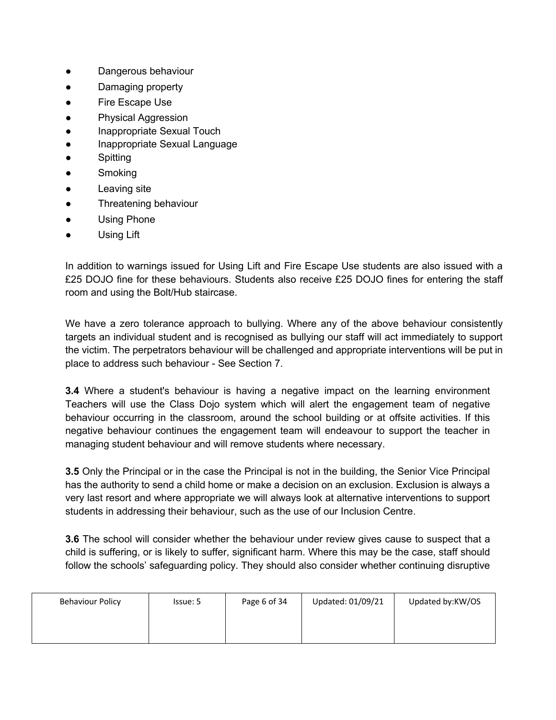- Dangerous behaviour
- Damaging property
- Fire Escape Use
- **Physical Aggression**
- Inappropriate Sexual Touch
- Inappropriate Sexual Language
- Spitting
- Smoking
- Leaving site
- **•** Threatening behaviour
- Using Phone
- Using Lift

In addition to warnings issued for Using Lift and Fire Escape Use students are also issued with a £25 DOJO fine for these behaviours. Students also receive £25 DOJO fines for entering the staff room and using the Bolt/Hub staircase.

We have a zero tolerance approach to bullying. Where any of the above behaviour consistently targets an individual student and is recognised as bullying our staff will act immediately to support the victim. The perpetrators behaviour will be challenged and appropriate interventions will be put in place to address such behaviour - See Section 7.

**3.4** Where a student's behaviour is having a negative impact on the learning environment Teachers will use the Class Dojo system which will alert the engagement team of negative behaviour occurring in the classroom, around the school building or at offsite activities. If this negative behaviour continues the engagement team will endeavour to support the teacher in managing student behaviour and will remove students where necessary.

**3.5** Only the Principal or in the case the Principal is not in the building, the Senior Vice Principal has the authority to send a child home or make a decision on an exclusion. Exclusion is always a very last resort and where appropriate we will always look at alternative interventions to support students in addressing their behaviour, such as the use of our Inclusion Centre.

**3.6** The school will consider whether the behaviour under review gives cause to suspect that a child is suffering, or is likely to suffer, significant harm. Where this may be the case, staff should follow the schools' safeguarding policy. They should also consider whether continuing disruptive

| Behaviour Policy | Issue: 5 | Page 6 of 34 | Updated: 01/09/21 | Updated by:KW/OS |
|------------------|----------|--------------|-------------------|------------------|
|                  |          |              |                   |                  |
|                  |          |              |                   |                  |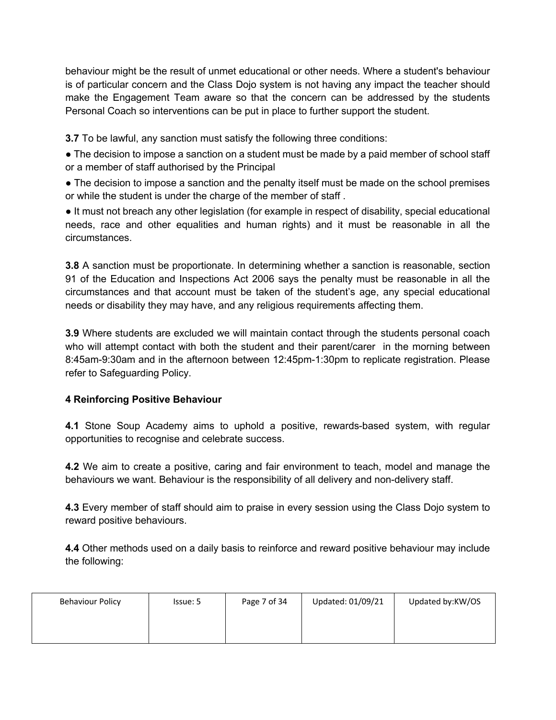behaviour might be the result of unmet educational or other needs. Where a student's behaviour is of particular concern and the Class Dojo system is not having any impact the teacher should make the Engagement Team aware so that the concern can be addressed by the students Personal Coach so interventions can be put in place to further support the student.

**3.7** To be lawful, any sanction must satisfy the following three conditions:

• The decision to impose a sanction on a student must be made by a paid member of school staff or a member of staff authorised by the Principal

• The decision to impose a sanction and the penalty itself must be made on the school premises or while the student is under the charge of the member of staff .

• It must not breach any other legislation (for example in respect of disability, special educational needs, race and other equalities and human rights) and it must be reasonable in all the circumstances.

**3.8** A sanction must be proportionate. In determining whether a sanction is reasonable, section 91 of the Education and Inspections Act 2006 says the penalty must be reasonable in all the circumstances and that account must be taken of the student's age, any special educational needs or disability they may have, and any religious requirements affecting them.

**3.9** Where students are excluded we will maintain contact through the students personal coach who will attempt contact with both the student and their parent/carer in the morning between 8:45am-9:30am and in the afternoon between 12:45pm-1:30pm to replicate registration. Please refer to Safeguarding Policy.

#### **4 Reinforcing Positive Behaviour**

**4.1** Stone Soup Academy aims to uphold a positive, rewards-based system, with regular opportunities to recognise and celebrate success.

**4.2** We aim to create a positive, caring and fair environment to teach, model and manage the behaviours we want. Behaviour is the responsibility of all delivery and non-delivery staff.

**4.3** Every member of staff should aim to praise in every session using the Class Dojo system to reward positive behaviours.

**4.4** Other methods used on a daily basis to reinforce and reward positive behaviour may include the following:

| <b>Behaviour Policy</b> | Issue: 5 | Page 7 of 34 | Updated: 01/09/21 | Updated by:KW/OS |
|-------------------------|----------|--------------|-------------------|------------------|
|                         |          |              |                   |                  |
|                         |          |              |                   |                  |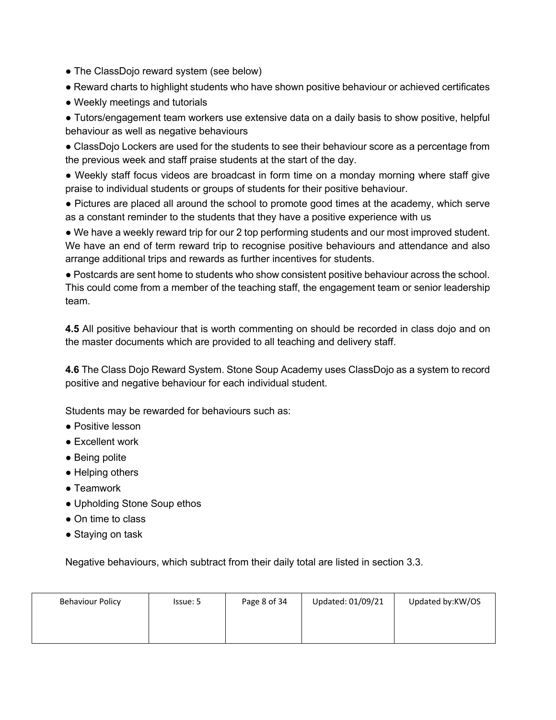- The ClassDojo reward system (see below)
- Reward charts to highlight students who have shown positive behaviour or achieved certificates
- Weekly meetings and tutorials

● Tutors/engagement team workers use extensive data on a daily basis to show positive, helpful behaviour as well as negative behaviours

● ClassDojo Lockers are used for the students to see their behaviour score as a percentage from the previous week and staff praise students at the start of the day.

● Weekly staff focus videos are broadcast in form time on a monday morning where staff give praise to individual students or groups of students for their positive behaviour.

● Pictures are placed all around the school to promote good times at the academy, which serve as a constant reminder to the students that they have a positive experience with us

● We have a weekly reward trip for our 2 top performing students and our most improved student. We have an end of term reward trip to recognise positive behaviours and attendance and also arrange additional trips and rewards as further incentives for students.

● Postcards are sent home to students who show consistent positive behaviour across the school. This could come from a member of the teaching staff, the engagement team or senior leadership team.

**4.5** All positive behaviour that is worth commenting on should be recorded in class dojo and on the master documents which are provided to all teaching and delivery staff.

**4.6** The Class Dojo Reward System. Stone Soup Academy uses ClassDojo as a system to record positive and negative behaviour for each individual student.

Students may be rewarded for behaviours such as:

- Positive lesson
- Excellent work
- Being polite
- Helping others
- Teamwork
- Upholding Stone Soup ethos
- On time to class
- Staying on task

Negative behaviours, which subtract from their daily total are listed in section 3.3.

| <b>Behaviour Policy</b> | Issue: 5 | Page 8 of 34 | Updated: 01/09/21 | Updated by:KW/OS |
|-------------------------|----------|--------------|-------------------|------------------|
|                         |          |              |                   |                  |
|                         |          |              |                   |                  |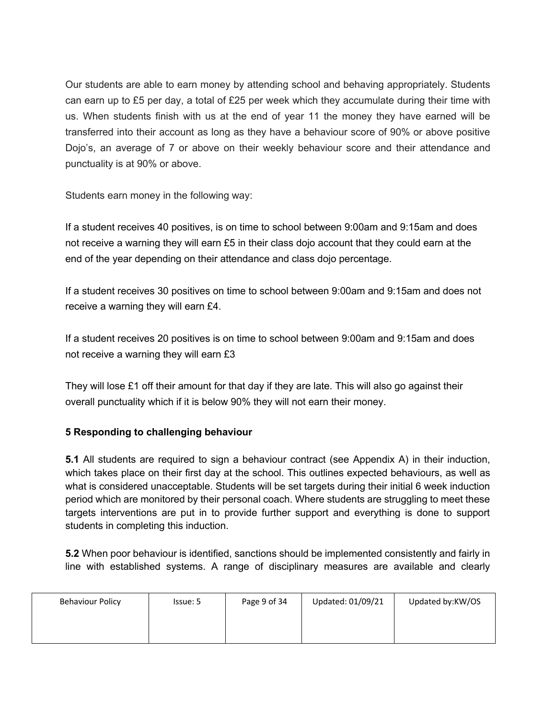Our students are able to earn money by attending school and behaving appropriately. Students can earn up to £5 per day, a total of £25 per week which they accumulate during their time with us. When students finish with us at the end of year 11 the money they have earned will be transferred into their account as long as they have a behaviour score of 90% or above positive Dojo's, an average of 7 or above on their weekly behaviour score and their attendance and punctuality is at 90% or above.

Students earn money in the following way:

If a student receives 40 positives, is on time to school between 9:00am and 9:15am and does not receive a warning they will earn £5 in their class dojo account that they could earn at the end of the year depending on their attendance and class dojo percentage.

If a student receives 30 positives on time to school between 9:00am and 9:15am and does not receive a warning they will earn £4.

If a student receives 20 positives is on time to school between 9:00am and 9:15am and does not receive a warning they will earn £3

They will lose £1 off their amount for that day if they are late. This will also go against their overall punctuality which if it is below 90% they will not earn their money.

#### **5 Responding to challenging behaviour**

**5.1** All students are required to sign a behaviour contract (see Appendix A) in their induction, which takes place on their first day at the school. This outlines expected behaviours, as well as what is considered unacceptable. Students will be set targets during their initial 6 week induction period which are monitored by their personal coach. Where students are struggling to meet these targets interventions are put in to provide further support and everything is done to support students in completing this induction.

**5.2** When poor behaviour is identified, sanctions should be implemented consistently and fairly in line with established systems. A range of disciplinary measures are available and clearly

| <b>Behaviour Policy</b> | Issue: 5 | Page 9 of 34 | Updated: 01/09/21 | Updated by:KW/OS |
|-------------------------|----------|--------------|-------------------|------------------|
|                         |          |              |                   |                  |
|                         |          |              |                   |                  |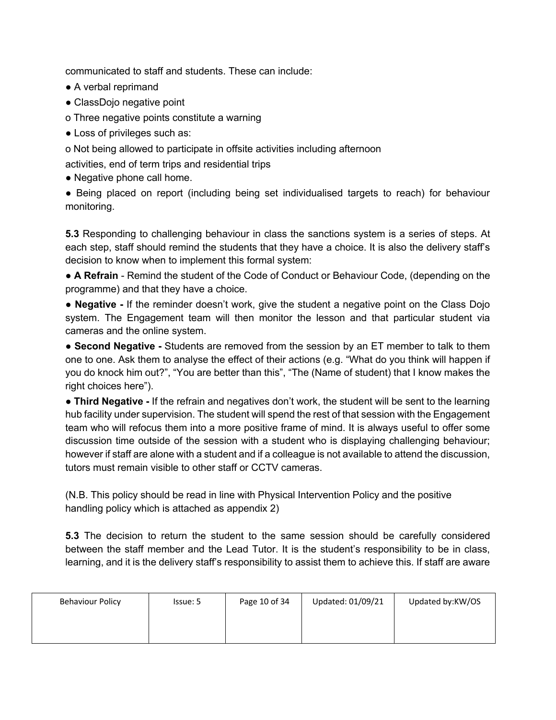communicated to staff and students. These can include:

- A verbal reprimand
- ClassDojo negative point
- o Three negative points constitute a warning
- Loss of privileges such as:

o Not being allowed to participate in offsite activities including afternoon

activities, end of term trips and residential trips

● Negative phone call home.

● Being placed on report (including being set individualised targets to reach) for behaviour monitoring.

**5.3** Responding to challenging behaviour in class the sanctions system is a series of steps. At each step, staff should remind the students that they have a choice. It is also the delivery staff's decision to know when to implement this formal system:

● **A Refrain** - Remind the student of the Code of Conduct or Behaviour Code, (depending on the programme) and that they have a choice.

● **Negative -** If the reminder doesn't work, give the student a negative point on the Class Dojo system. The Engagement team will then monitor the lesson and that particular student via cameras and the online system.

● **Second Negative -** Students are removed from the session by an ET member to talk to them one to one. Ask them to analyse the effect of their actions (e.g. "What do you think will happen if you do knock him out?", "You are better than this", "The (Name of student) that I know makes the right choices here").

● **Third Negative -** If the refrain and negatives don't work, the student will be sent to the learning hub facility under supervision. The student will spend the rest of that session with the Engagement team who will refocus them into a more positive frame of mind. It is always useful to offer some discussion time outside of the session with a student who is displaying challenging behaviour; however if staff are alone with a student and if a colleague is not available to attend the discussion, tutors must remain visible to other staff or CCTV cameras.

(N.B. This policy should be read in line with Physical Intervention Policy and the positive handling policy which is attached as appendix 2)

**5.3** The decision to return the student to the same session should be carefully considered between the staff member and the Lead Tutor. It is the student's responsibility to be in class, learning, and it is the delivery staff's responsibility to assist them to achieve this. If staff are aware

| <b>Behaviour Policy</b> | Issue: 5 | Page 10 of 34 | Updated: 01/09/21 | Updated by:KW/OS |
|-------------------------|----------|---------------|-------------------|------------------|
|                         |          |               |                   |                  |
|                         |          |               |                   |                  |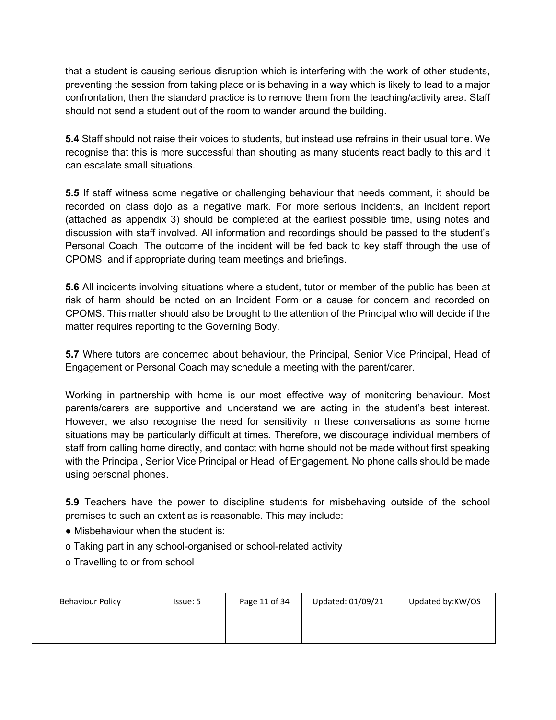that a student is causing serious disruption which is interfering with the work of other students, preventing the session from taking place or is behaving in a way which is likely to lead to a major confrontation, then the standard practice is to remove them from the teaching/activity area. Staff should not send a student out of the room to wander around the building.

**5.4** Staff should not raise their voices to students, but instead use refrains in their usual tone. We recognise that this is more successful than shouting as many students react badly to this and it can escalate small situations.

**5.5** If staff witness some negative or challenging behaviour that needs comment, it should be recorded on class dojo as a negative mark. For more serious incidents, an incident report (attached as appendix 3) should be completed at the earliest possible time, using notes and discussion with staff involved. All information and recordings should be passed to the student's Personal Coach. The outcome of the incident will be fed back to key staff through the use of CPOMS and if appropriate during team meetings and briefings.

**5.6** All incidents involving situations where a student, tutor or member of the public has been at risk of harm should be noted on an Incident Form or a cause for concern and recorded on CPOMS. This matter should also be brought to the attention of the Principal who will decide if the matter requires reporting to the Governing Body.

**5.7** Where tutors are concerned about behaviour, the Principal, Senior Vice Principal, Head of Engagement or Personal Coach may schedule a meeting with the parent/carer.

Working in partnership with home is our most effective way of monitoring behaviour. Most parents/carers are supportive and understand we are acting in the student's best interest. However, we also recognise the need for sensitivity in these conversations as some home situations may be particularly difficult at times. Therefore, we discourage individual members of staff from calling home directly, and contact with home should not be made without first speaking with the Principal, Senior Vice Principal or Head of Engagement. No phone calls should be made using personal phones.

**5.9** Teachers have the power to discipline students for misbehaving outside of the school premises to such an extent as is reasonable. This may include:

- Misbehaviour when the student is:
- o Taking part in any school-organised or school-related activity
- o Travelling to or from school

| <b>Behaviour Policy</b> | Issue: 5 | Page 11 of 34 | Updated: 01/09/21 | Updated by:KW/OS |
|-------------------------|----------|---------------|-------------------|------------------|
|                         |          |               |                   |                  |
|                         |          |               |                   |                  |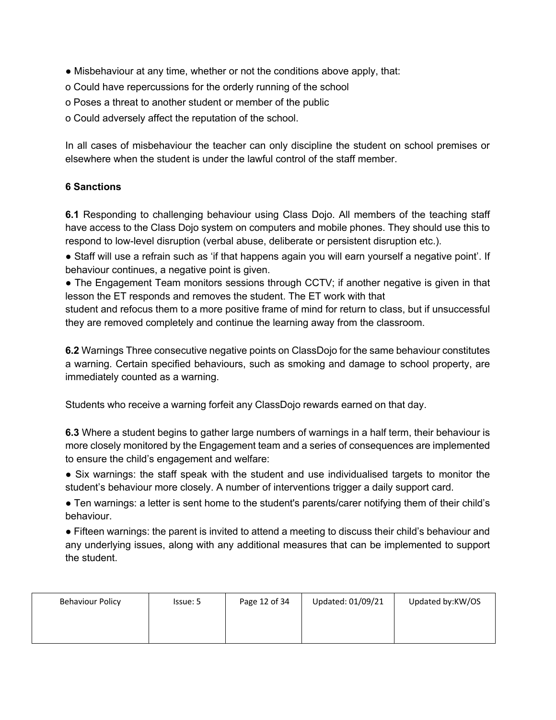- Misbehaviour at any time, whether or not the conditions above apply, that:
- o Could have repercussions for the orderly running of the school
- o Poses a threat to another student or member of the public
- o Could adversely affect the reputation of the school.

In all cases of misbehaviour the teacher can only discipline the student on school premises or elsewhere when the student is under the lawful control of the staff member.

#### **6 Sanctions**

**6.1** Responding to challenging behaviour using Class Dojo. All members of the teaching staff have access to the Class Dojo system on computers and mobile phones. They should use this to respond to low-level disruption (verbal abuse, deliberate or persistent disruption etc.).

● Staff will use a refrain such as 'if that happens again you will earn yourself a negative point'. If behaviour continues, a negative point is given.

• The Engagement Team monitors sessions through CCTV; if another negative is given in that lesson the ET responds and removes the student. The ET work with that

student and refocus them to a more positive frame of mind for return to class, but if unsuccessful they are removed completely and continue the learning away from the classroom.

**6.2** Warnings Three consecutive negative points on ClassDojo for the same behaviour constitutes a warning. Certain specified behaviours, such as smoking and damage to school property, are immediately counted as a warning.

Students who receive a warning forfeit any ClassDojo rewards earned on that day.

**6.3** Where a student begins to gather large numbers of warnings in a half term, their behaviour is more closely monitored by the Engagement team and a series of consequences are implemented to ensure the child's engagement and welfare:

● Six warnings: the staff speak with the student and use individualised targets to monitor the student's behaviour more closely. A number of interventions trigger a daily support card.

● Ten warnings: a letter is sent home to the student's parents/carer notifying them of their child's behaviour.

• Fifteen warnings: the parent is invited to attend a meeting to discuss their child's behaviour and any underlying issues, along with any additional measures that can be implemented to support the student.

| <b>Behaviour Policy</b> | Issue: 5 | Page 12 of 34 | Updated: 01/09/21 | Updated by:KW/OS |
|-------------------------|----------|---------------|-------------------|------------------|
|                         |          |               |                   |                  |
|                         |          |               |                   |                  |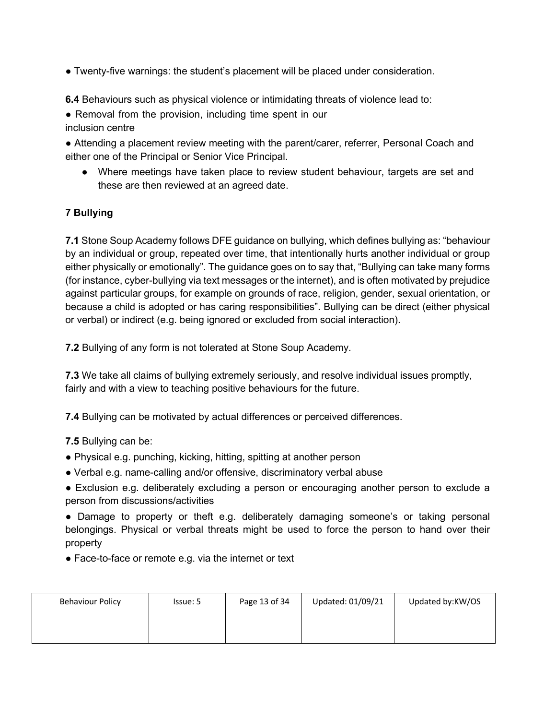● Twenty-five warnings: the student's placement will be placed under consideration.

**6.4** Behaviours such as physical violence or intimidating threats of violence lead to:

• Removal from the provision, including time spent in our

inclusion centre

● Attending a placement review meeting with the parent/carer, referrer, Personal Coach and either one of the Principal or Senior Vice Principal.

● Where meetings have taken place to review student behaviour, targets are set and these are then reviewed at an agreed date.

#### **7 Bullying**

**7.1** Stone Soup Academy follows DFE guidance on bullying, which defines bullying as: "behaviour by an individual or group, repeated over time, that intentionally hurts another individual or group either physically or emotionally". The guidance goes on to say that, "Bullying can take many forms (for instance, cyber-bullying via text messages or the internet), and is often motivated by prejudice against particular groups, for example on grounds of race, religion, gender, sexual orientation, or because a child is adopted or has caring responsibilities". Bullying can be direct (either physical or verbal) or indirect (e.g. being ignored or excluded from social interaction).

**7.2** Bullying of any form is not tolerated at Stone Soup Academy.

**7.3** We take all claims of bullying extremely seriously, and resolve individual issues promptly, fairly and with a view to teaching positive behaviours for the future.

**7.4** Bullying can be motivated by actual differences or perceived differences.

#### **7.5** Bullying can be:

- Physical e.g. punching, kicking, hitting, spitting at another person
- Verbal e.g. name-calling and/or offensive, discriminatory verbal abuse
- Exclusion e.g. deliberately excluding a person or encouraging another person to exclude a person from discussions/activities

● Damage to property or theft e.g. deliberately damaging someone's or taking personal belongings. Physical or verbal threats might be used to force the person to hand over their property

● Face-to-face or remote e.g. via the internet or text

| <b>Behaviour Policy</b> | Issue: 5 | Page 13 of 34 | Updated: 01/09/21 | Updated by:KW/OS |
|-------------------------|----------|---------------|-------------------|------------------|
|                         |          |               |                   |                  |
|                         |          |               |                   |                  |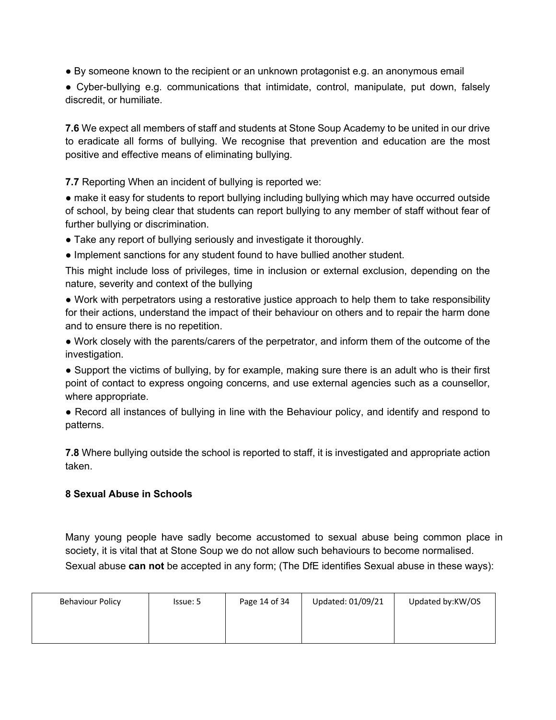● By someone known to the recipient or an unknown protagonist e.g. an anonymous email

● Cyber-bullying e.g. communications that intimidate, control, manipulate, put down, falsely discredit, or humiliate.

**7.6** We expect all members of staff and students at Stone Soup Academy to be united in our drive to eradicate all forms of bullying. We recognise that prevention and education are the most positive and effective means of eliminating bullying.

**7.7** Reporting When an incident of bullying is reported we:

• make it easy for students to report bullying including bullying which may have occurred outside of school, by being clear that students can report bullying to any member of staff without fear of further bullying or discrimination.

• Take any report of bullying seriously and investigate it thoroughly.

● Implement sanctions for any student found to have bullied another student.

This might include loss of privileges, time in inclusion or external exclusion, depending on the nature, severity and context of the bullying

● Work with perpetrators using a restorative justice approach to help them to take responsibility for their actions, understand the impact of their behaviour on others and to repair the harm done and to ensure there is no repetition.

● Work closely with the parents/carers of the perpetrator, and inform them of the outcome of the investigation.

● Support the victims of bullying, by for example, making sure there is an adult who is their first point of contact to express ongoing concerns, and use external agencies such as a counsellor, where appropriate.

● Record all instances of bullying in line with the Behaviour policy, and identify and respond to patterns.

**7.8** Where bullying outside the school is reported to staff, it is investigated and appropriate action taken.

#### **8 Sexual Abuse in Schools**

Many young people have sadly become accustomed to sexual abuse being common place in society, it is vital that at Stone Soup we do not allow such behaviours to become normalised.

Sexual abuse **can not** be accepted in any form; (The DfE identifies Sexual abuse in these ways):

| <b>Behaviour Policy</b> | Issue: 5 | Page 14 of 34 | Updated: 01/09/21 | Updated by:KW/OS |
|-------------------------|----------|---------------|-------------------|------------------|
|                         |          |               |                   |                  |
|                         |          |               |                   |                  |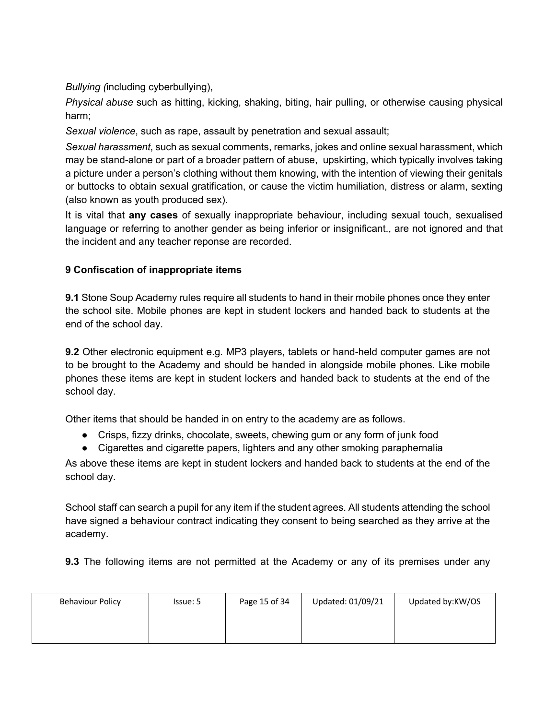*Bullying (*including cyberbullying),

*Physical abuse* such as hitting, kicking, shaking, biting, hair pulling, or otherwise causing physical harm;

*Sexual violence*, such as rape, assault by penetration and sexual assault;

*Sexual harassment*, such as sexual comments, remarks, jokes and online sexual harassment, which may be stand-alone or part of a broader pattern of abuse, upskirting, which typically involves taking a picture under a person's clothing without them knowing, with the intention of viewing their genitals or buttocks to obtain sexual gratification, or cause the victim humiliation, distress or alarm, sexting (also known as youth produced sex).

It is vital that **any cases** of sexually inappropriate behaviour, including sexual touch, sexualised language or referring to another gender as being inferior or insignificant., are not ignored and that the incident and any teacher reponse are recorded.

#### **9 Confiscation of inappropriate items**

**9.1** Stone Soup Academy rules require all students to hand in their mobile phones once they enter the school site. Mobile phones are kept in student lockers and handed back to students at the end of the school day.

**9.2** Other electronic equipment e.g. MP3 players, tablets or hand-held computer games are not to be brought to the Academy and should be handed in alongside mobile phones. Like mobile phones these items are kept in student lockers and handed back to students at the end of the school day.

Other items that should be handed in on entry to the academy are as follows.

- Crisps, fizzy drinks, chocolate, sweets, chewing gum or any form of junk food
- Cigarettes and cigarette papers, lighters and any other smoking paraphernalia

As above these items are kept in student lockers and handed back to students at the end of the school day.

School staff can search a pupil for any item if the student agrees. All students attending the school have signed a behaviour contract indicating they consent to being searched as they arrive at the academy.

**9.3** The following items are not permitted at the Academy or any of its premises under any

| <b>Behaviour Policy</b> | Issue: 5 | Page 15 of 34 | Updated: 01/09/21 | Updated by:KW/OS |
|-------------------------|----------|---------------|-------------------|------------------|
|                         |          |               |                   |                  |
|                         |          |               |                   |                  |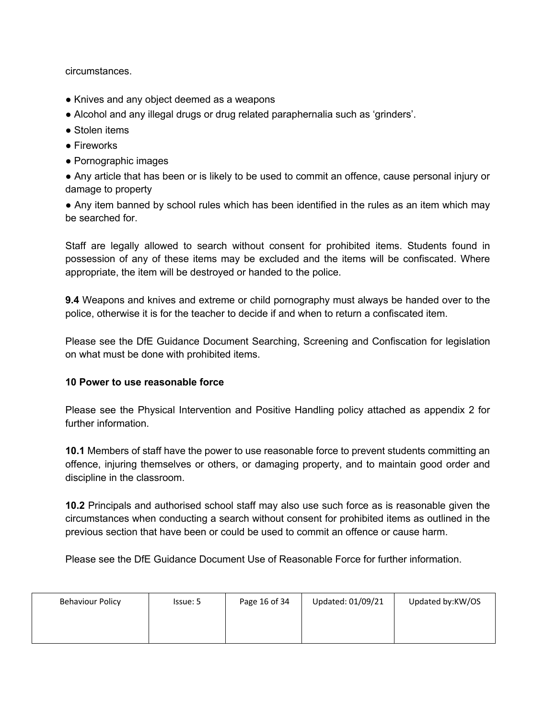circumstances.

- Knives and any object deemed as a weapons
- Alcohol and any illegal drugs or drug related paraphernalia such as 'grinders'.
- Stolen items
- Fireworks
- Pornographic images

● Any article that has been or is likely to be used to commit an offence, cause personal injury or damage to property

● Any item banned by school rules which has been identified in the rules as an item which may be searched for.

Staff are legally allowed to search without consent for prohibited items. Students found in possession of any of these items may be excluded and the items will be confiscated. Where appropriate, the item will be destroyed or handed to the police.

**9.4** Weapons and knives and extreme or child pornography must always be handed over to the police, otherwise it is for the teacher to decide if and when to return a confiscated item.

Please see the DfE Guidance Document Searching, Screening and Confiscation for legislation on what must be done with prohibited items.

#### **10 Power to use reasonable force**

Please see the Physical Intervention and Positive Handling policy attached as appendix 2 for further information.

**10.1** Members of staff have the power to use reasonable force to prevent students committing an offence, injuring themselves or others, or damaging property, and to maintain good order and discipline in the classroom.

**10.2** Principals and authorised school staff may also use such force as is reasonable given the circumstances when conducting a search without consent for prohibited items as outlined in the previous section that have been or could be used to commit an offence or cause harm.

Please see the DfE Guidance Document Use of Reasonable Force for further information.

| <b>Behaviour Policy</b> | Issue: 5 | Page 16 of 34 | Updated: 01/09/21 | Updated by:KW/OS |
|-------------------------|----------|---------------|-------------------|------------------|
|                         |          |               |                   |                  |
|                         |          |               |                   |                  |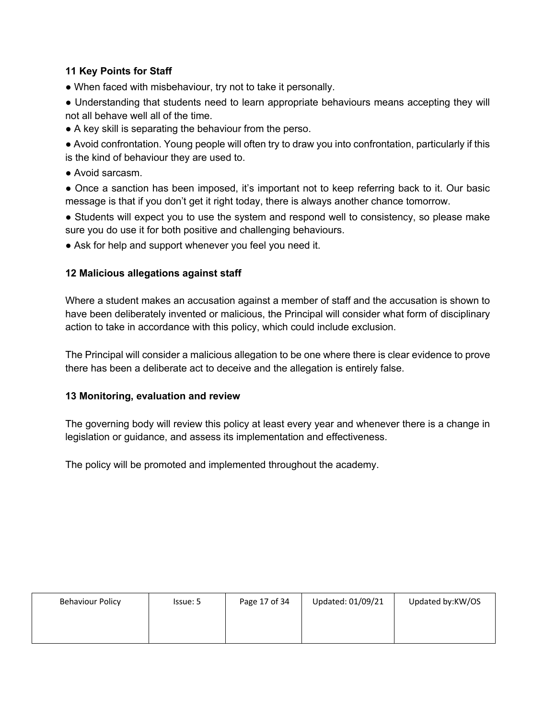#### **11 Key Points for Staff**

- When faced with misbehaviour, try not to take it personally.
- Understanding that students need to learn appropriate behaviours means accepting they will not all behave well all of the time.
- A key skill is separating the behaviour from the perso.
- Avoid confrontation. Young people will often try to draw you into confrontation, particularly if this is the kind of behaviour they are used to.
- Avoid sarcasm.
- Once a sanction has been imposed, it's important not to keep referring back to it. Our basic message is that if you don't get it right today, there is always another chance tomorrow.
- Students will expect you to use the system and respond well to consistency, so please make sure you do use it for both positive and challenging behaviours.
- Ask for help and support whenever you feel you need it.

#### **12 Malicious allegations against staff**

Where a student makes an accusation against a member of staff and the accusation is shown to have been deliberately invented or malicious, the Principal will consider what form of disciplinary action to take in accordance with this policy, which could include exclusion.

The Principal will consider a malicious allegation to be one where there is clear evidence to prove there has been a deliberate act to deceive and the allegation is entirely false.

#### **13 Monitoring, evaluation and review**

The governing body will review this policy at least every year and whenever there is a change in legislation or guidance, and assess its implementation and effectiveness.

The policy will be promoted and implemented throughout the academy.

| <b>Behaviour Policy</b> | Issue: 5 | Page 17 of 34 | Updated: 01/09/21 | Updated by:KW/OS |
|-------------------------|----------|---------------|-------------------|------------------|
|                         |          |               |                   |                  |
|                         |          |               |                   |                  |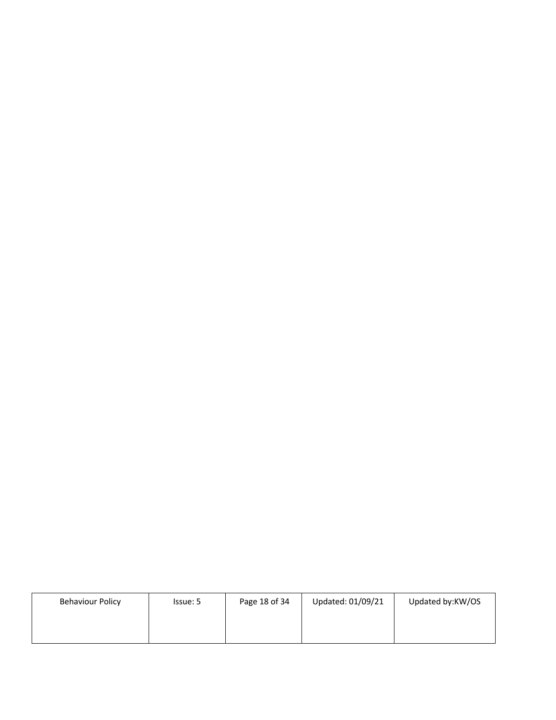| <b>Behaviour Policy</b> | Issue: 5 | Page 18 of 34 | Updated: 01/09/21 | Updated by:KW/OS |
|-------------------------|----------|---------------|-------------------|------------------|
|                         |          |               |                   |                  |
|                         |          |               |                   |                  |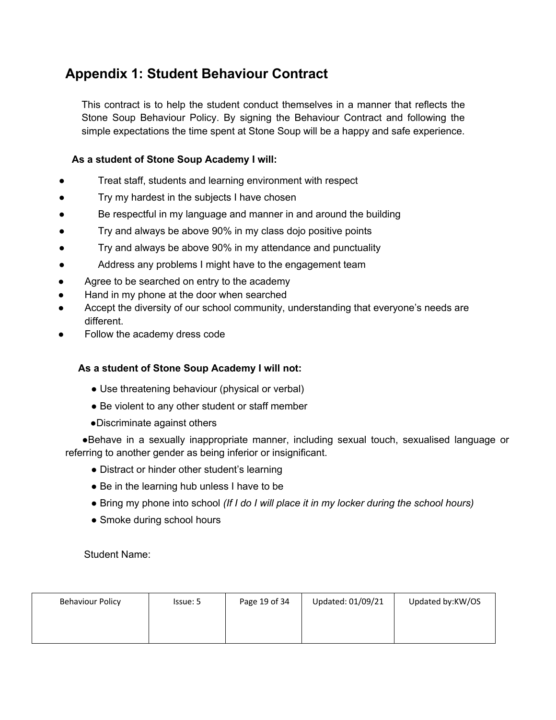### **Appendix 1: Student Behaviour Contract**

This contract is to help the student conduct themselves in a manner that reflects the Stone Soup Behaviour Policy. By signing the Behaviour Contract and following the simple expectations the time spent at Stone Soup will be a happy and safe experience.

#### **As a student of Stone Soup Academy I will:**

- Treat staff, students and learning environment with respect
- Try my hardest in the subjects I have chosen
- Be respectful in my language and manner in and around the building
- Try and always be above 90% in my class dojo positive points
- Try and always be above 90% in my attendance and punctuality
- Address any problems I might have to the engagement team
- Agree to be searched on entry to the academy
- Hand in my phone at the door when searched
- Accept the diversity of our school community, understanding that everyone's needs are different.
- Follow the academy dress code

#### **As a student of Stone Soup Academy I will not:**

- Use threatening behaviour (physical or verbal)
- Be violent to any other student or staff member
- ●Discriminate against others

 ●Behave in a sexually inappropriate manner, including sexual touch, sexualised language or referring to another gender as being inferior or insignificant.

- Distract or hinder other student's learning
- Be in the learning hub unless I have to be
- Bring my phone into school *(If I do I will place it in my locker during the school hours)*
- Smoke during school hours

Student Name:

| <b>Behaviour Policy</b> | Issue: 5 | Page 19 of 34 | Updated: 01/09/21 | Updated by:KW/OS |
|-------------------------|----------|---------------|-------------------|------------------|
|                         |          |               |                   |                  |
|                         |          |               |                   |                  |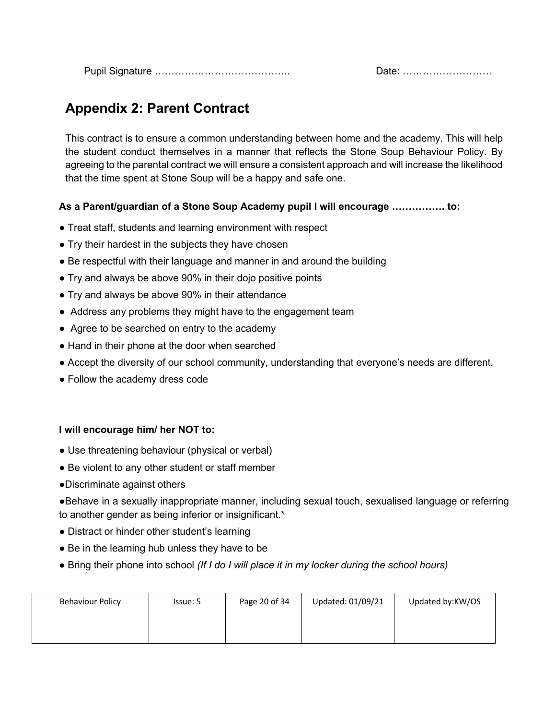Pupil Signature ………………………………….. Date: ………………………

### **Appendix 2: Parent Contract**

This contract is to ensure a common understanding between home and the academy. This will help the student conduct themselves in a manner that reflects the Stone Soup Behaviour Policy. By agreeing to the parental contract we will ensure a consistent approach and will increase the likelihood that the time spent at Stone Soup will be a happy and safe one.

#### **As a Parent/guardian of a Stone Soup Academy pupil I will encourage ……………. to:**

- Treat staff, students and learning environment with respect
- Try their hardest in the subjects they have chosen
- Be respectful with their language and manner in and around the building
- Try and always be above 90% in their dojo positive points
- Try and always be above 90% in their attendance
- Address any problems they might have to the engagement team
- Agree to be searched on entry to the academy
- Hand in their phone at the door when searched
- Accept the diversity of our school community, understanding that everyone's needs are different.
- Follow the academy dress code

#### **I will encourage him/ her NOT to:**

- Use threatening behaviour (physical or verbal)
- Be violent to any other student or staff member
- ●Discriminate against others
- ●Behave in a sexually inappropriate manner, including sexual touch, sexualised language or referring to another gender as being inferior or insignificant.\*
- Distract or hinder other student's learning
- Be in the learning hub unless they have to be
- Bring their phone into school *(If I do I will place it in my locker during the school hours)*

| <b>Behaviour Policy</b> | Issue: 5 | Page 20 of 34 | Updated: 01/09/21 | Updated by:KW/OS |
|-------------------------|----------|---------------|-------------------|------------------|
|                         |          |               |                   |                  |
|                         |          |               |                   |                  |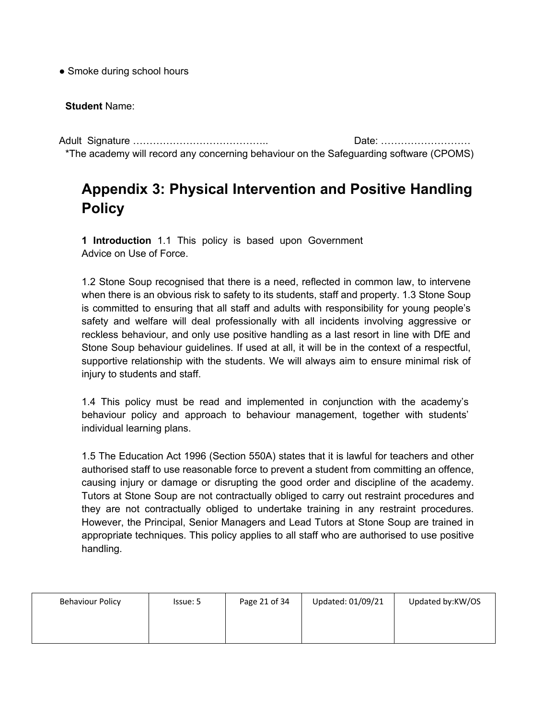• Smoke during school hours

#### **Student** Name:

Adult Signature ………………………………….. Date: ……………………… \*The academy will record any concerning behaviour on the Safeguarding software (CPOMS)

### **Appendix 3: Physical Intervention and Positive Handling Policy**

**1 Introduction** 1.1 This policy is based upon Government Advice on Use of Force.

1.2 Stone Soup recognised that there is a need, reflected in common law, to intervene when there is an obvious risk to safety to its students, staff and property. 1.3 Stone Soup is committed to ensuring that all staff and adults with responsibility for young people's safety and welfare will deal professionally with all incidents involving aggressive or reckless behaviour, and only use positive handling as a last resort in line with DfE and Stone Soup behaviour guidelines. If used at all, it will be in the context of a respectful, supportive relationship with the students. We will always aim to ensure minimal risk of injury to students and staff.

1.4 This policy must be read and implemented in conjunction with the academy's behaviour policy and approach to behaviour management, together with students' individual learning plans.

1.5 The Education Act 1996 (Section 550A) states that it is lawful for teachers and other authorised staff to use reasonable force to prevent a student from committing an offence, causing injury or damage or disrupting the good order and discipline of the academy. Tutors at Stone Soup are not contractually obliged to carry out restraint procedures and they are not contractually obliged to undertake training in any restraint procedures. However, the Principal, Senior Managers and Lead Tutors at Stone Soup are trained in appropriate techniques. This policy applies to all staff who are authorised to use positive handling.

| <b>Behaviour Policy</b> | Issue: 5 | Page 21 of 34 | Updated: 01/09/21 | Updated by:KW/OS |
|-------------------------|----------|---------------|-------------------|------------------|
|                         |          |               |                   |                  |
|                         |          |               |                   |                  |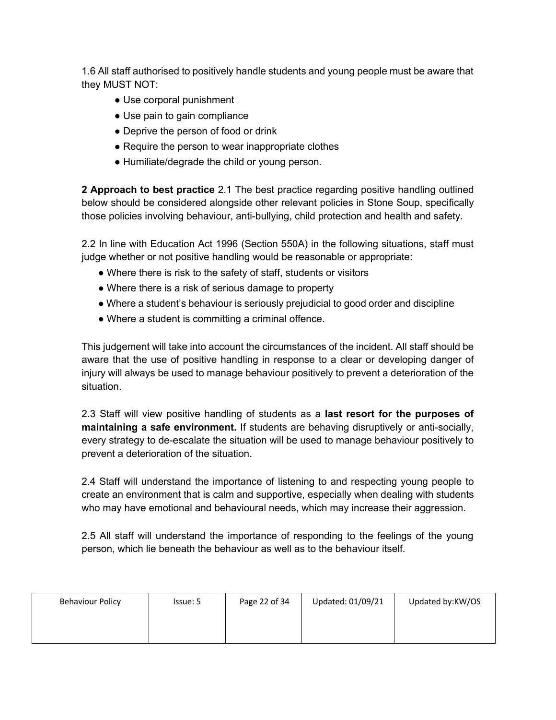1.6 All staff authorised to positively handle students and young people must be aware that they MUST NOT:

- Use corporal punishment
- Use pain to gain compliance
- Deprive the person of food or drink
- Require the person to wear inappropriate clothes
- Humiliate/degrade the child or young person.

**2 Approach to best practice** 2.1 The best practice regarding positive handling outlined below should be considered alongside other relevant policies in Stone Soup, specifically those policies involving behaviour, anti-bullying, child protection and health and safety.

2.2 In line with Education Act 1996 (Section 550A) in the following situations, staff must judge whether or not positive handling would be reasonable or appropriate:

- Where there is risk to the safety of staff, students or visitors
- Where there is a risk of serious damage to property
- Where a student's behaviour is seriously prejudicial to good order and discipline
- Where a student is committing a criminal offence.

This judgement will take into account the circumstances of the incident. All staff should be aware that the use of positive handling in response to a clear or developing danger of injury will always be used to manage behaviour positively to prevent a deterioration of the situation.

2.3 Staff will view positive handling of students as a **last resort for the purposes of maintaining a safe environment.** If students are behaving disruptively or anti-socially, every strategy to de-escalate the situation will be used to manage behaviour positively to prevent a deterioration of the situation.

2.4 Staff will understand the importance of listening to and respecting young people to create an environment that is calm and supportive, especially when dealing with students who may have emotional and behavioural needs, which may increase their aggression.

2.5 All staff will understand the importance of responding to the feelings of the young person, which lie beneath the behaviour as well as to the behaviour itself.

| <b>Behaviour Policy</b> | Issue: 5 | Page 22 of 34 | Updated: 01/09/21 | Updated by:KW/OS |
|-------------------------|----------|---------------|-------------------|------------------|
|                         |          |               |                   |                  |
|                         |          |               |                   |                  |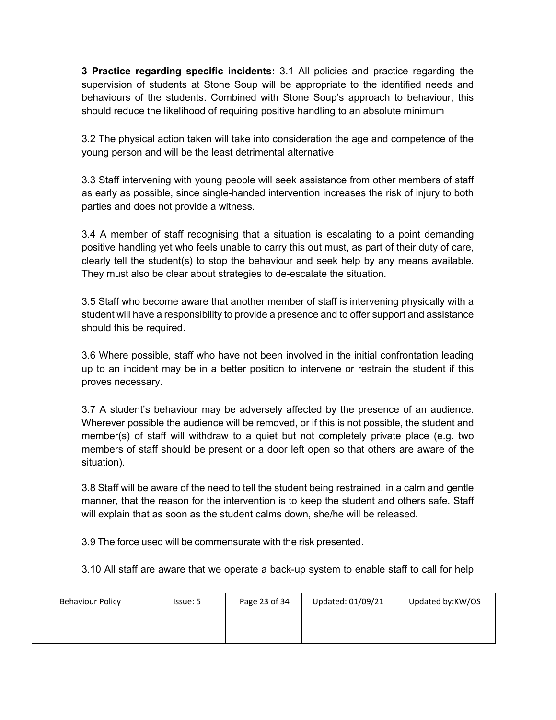**3 Practice regarding specific incidents:** 3.1 All policies and practice regarding the supervision of students at Stone Soup will be appropriate to the identified needs and behaviours of the students. Combined with Stone Soup's approach to behaviour, this should reduce the likelihood of requiring positive handling to an absolute minimum

3.2 The physical action taken will take into consideration the age and competence of the young person and will be the least detrimental alternative

3.3 Staff intervening with young people will seek assistance from other members of staff as early as possible, since single-handed intervention increases the risk of injury to both parties and does not provide a witness.

3.4 A member of staff recognising that a situation is escalating to a point demanding positive handling yet who feels unable to carry this out must, as part of their duty of care, clearly tell the student(s) to stop the behaviour and seek help by any means available. They must also be clear about strategies to de-escalate the situation.

3.5 Staff who become aware that another member of staff is intervening physically with a student will have a responsibility to provide a presence and to offer support and assistance should this be required.

3.6 Where possible, staff who have not been involved in the initial confrontation leading up to an incident may be in a better position to intervene or restrain the student if this proves necessary.

3.7 A student's behaviour may be adversely affected by the presence of an audience. Wherever possible the audience will be removed, or if this is not possible, the student and member(s) of staff will withdraw to a quiet but not completely private place (e.g. two members of staff should be present or a door left open so that others are aware of the situation).

3.8 Staff will be aware of the need to tell the student being restrained, in a calm and gentle manner, that the reason for the intervention is to keep the student and others safe. Staff will explain that as soon as the student calms down, she/he will be released.

3.9 The force used will be commensurate with the risk presented.

3.10 All staff are aware that we operate a back-up system to enable staff to call for help

| <b>Behaviour Policy</b> | Issue: 5 | Page 23 of 34 | Updated: 01/09/21 | Updated by:KW/OS |
|-------------------------|----------|---------------|-------------------|------------------|
|                         |          |               |                   |                  |
|                         |          |               |                   |                  |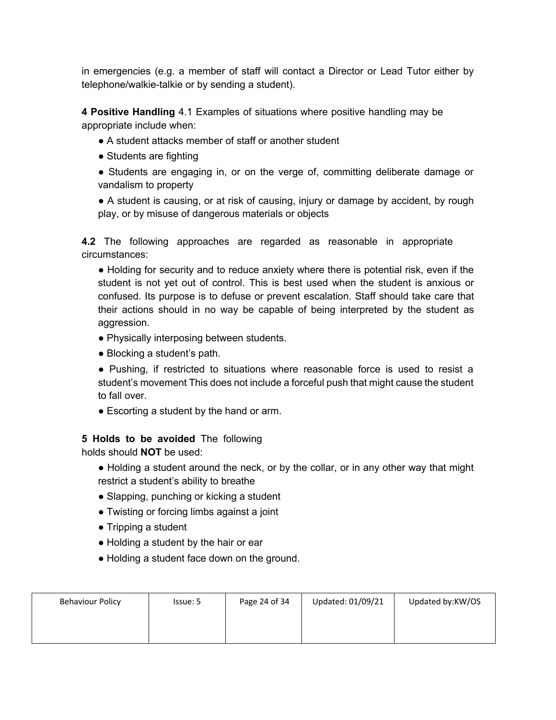in emergencies (e.g. a member of staff will contact a Director or Lead Tutor either by telephone/walkie-talkie or by sending a student).

**4 Positive Handling** 4.1 Examples of situations where positive handling may be appropriate include when:

- A student attacks member of staff or another student
- Students are fighting

● Students are engaging in, or on the verge of, committing deliberate damage or vandalism to property

• A student is causing, or at risk of causing, injury or damage by accident, by rough play, or by misuse of dangerous materials or objects

**4.2** The following approaches are regarded as reasonable in appropriate circumstances:

● Holding for security and to reduce anxiety where there is potential risk, even if the student is not yet out of control. This is best used when the student is anxious or confused. Its purpose is to defuse or prevent escalation. Staff should take care that their actions should in no way be capable of being interpreted by the student as aggression.

- Physically interposing between students.
- Blocking a student's path.
- Pushing, if restricted to situations where reasonable force is used to resist a student's movement This does not include a forceful push that might cause the student to fall over.
- Escorting a student by the hand or arm.

**5 Holds to be avoided** The following

holds should **NOT** be used:

- Holding a student around the neck, or by the collar, or in any other way that might restrict a student's ability to breathe
- Slapping, punching or kicking a student
- Twisting or forcing limbs against a joint
- Tripping a student
- Holding a student by the hair or ear
- Holding a student face down on the ground.

| <b>Behaviour Policy</b> | Issue: 5 | Page 24 of 34 | Updated: 01/09/21 | Updated by:KW/OS |
|-------------------------|----------|---------------|-------------------|------------------|
|                         |          |               |                   |                  |
|                         |          |               |                   |                  |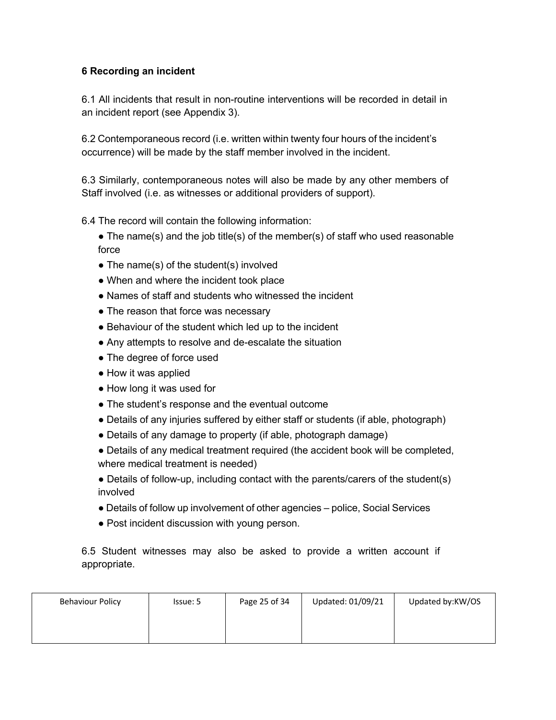#### **6 Recording an incident**

6.1 All incidents that result in non-routine interventions will be recorded in detail in an incident report (see Appendix 3).

6.2 Contemporaneous record (i.e. written within twenty four hours of the incident's occurrence) will be made by the staff member involved in the incident.

6.3 Similarly, contemporaneous notes will also be made by any other members of Staff involved (i.e. as witnesses or additional providers of support).

6.4 The record will contain the following information:

- The name(s) and the job title(s) of the member(s) of staff who used reasonable force
- The name(s) of the student(s) involved
- When and where the incident took place
- Names of staff and students who witnessed the incident
- The reason that force was necessary
- Behaviour of the student which led up to the incident
- Any attempts to resolve and de-escalate the situation
- The degree of force used
- How it was applied
- How long it was used for
- The student's response and the eventual outcome
- Details of any injuries suffered by either staff or students (if able, photograph)
- Details of any damage to property (if able, photograph damage)
- Details of any medical treatment required (the accident book will be completed, where medical treatment is needed)
- Details of follow-up, including contact with the parents/carers of the student(s) involved
- Details of follow up involvement of other agencies police, Social Services
- Post incident discussion with young person.

6.5 Student witnesses may also be asked to provide a written account if appropriate.

| <b>Behaviour Policy</b> | Issue: 5 | Page 25 of 34 | Updated: 01/09/21 | Updated by:KW/OS |
|-------------------------|----------|---------------|-------------------|------------------|
|                         |          |               |                   |                  |
|                         |          |               |                   |                  |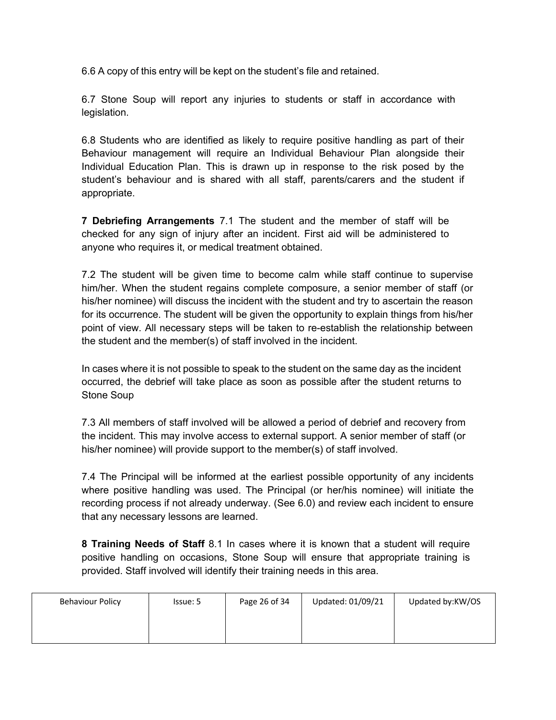6.6 A copy of this entry will be kept on the student's file and retained.

6.7 Stone Soup will report any injuries to students or staff in accordance with legislation.

6.8 Students who are identified as likely to require positive handling as part of their Behaviour management will require an Individual Behaviour Plan alongside their Individual Education Plan. This is drawn up in response to the risk posed by the student's behaviour and is shared with all staff, parents/carers and the student if appropriate.

**7 Debriefing Arrangements** 7.1 The student and the member of staff will be checked for any sign of injury after an incident. First aid will be administered to anyone who requires it, or medical treatment obtained.

7.2 The student will be given time to become calm while staff continue to supervise him/her. When the student regains complete composure, a senior member of staff (or his/her nominee) will discuss the incident with the student and try to ascertain the reason for its occurrence. The student will be given the opportunity to explain things from his/her point of view. All necessary steps will be taken to re-establish the relationship between the student and the member(s) of staff involved in the incident.

In cases where it is not possible to speak to the student on the same day as the incident occurred, the debrief will take place as soon as possible after the student returns to Stone Soup

7.3 All members of staff involved will be allowed a period of debrief and recovery from the incident. This may involve access to external support. A senior member of staff (or his/her nominee) will provide support to the member(s) of staff involved.

7.4 The Principal will be informed at the earliest possible opportunity of any incidents where positive handling was used. The Principal (or her/his nominee) will initiate the recording process if not already underway. (See 6.0) and review each incident to ensure that any necessary lessons are learned.

**8 Training Needs of Staff** 8.1 In cases where it is known that a student will require positive handling on occasions, Stone Soup will ensure that appropriate training is provided. Staff involved will identify their training needs in this area.

| <b>Behaviour Policy</b> | Issue: 5 | Page 26 of 34 | Updated: 01/09/21 | Updated by:KW/OS |
|-------------------------|----------|---------------|-------------------|------------------|
|                         |          |               |                   |                  |
|                         |          |               |                   |                  |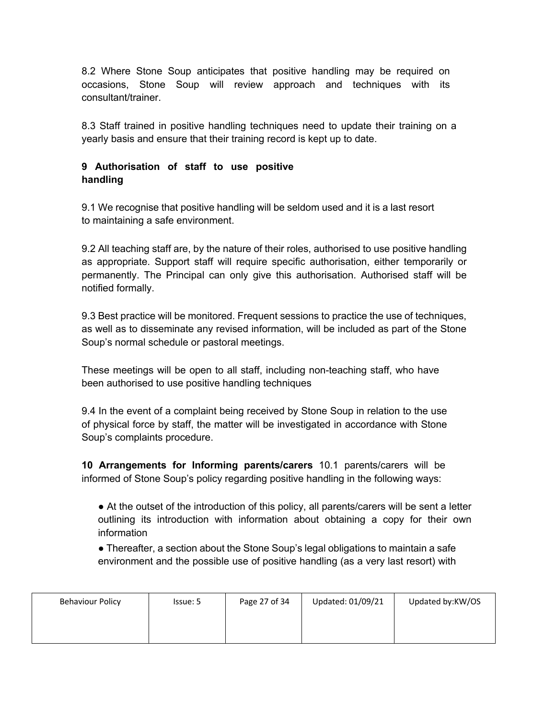8.2 Where Stone Soup anticipates that positive handling may be required on occasions, Stone Soup will review approach and techniques with its consultant/trainer.

8.3 Staff trained in positive handling techniques need to update their training on a yearly basis and ensure that their training record is kept up to date.

#### **9 Authorisation of staff to use positive handling**

9.1 We recognise that positive handling will be seldom used and it is a last resort to maintaining a safe environment.

9.2 All teaching staff are, by the nature of their roles, authorised to use positive handling as appropriate. Support staff will require specific authorisation, either temporarily or permanently. The Principal can only give this authorisation. Authorised staff will be notified formally.

9.3 Best practice will be monitored. Frequent sessions to practice the use of techniques, as well as to disseminate any revised information, will be included as part of the Stone Soup's normal schedule or pastoral meetings.

These meetings will be open to all staff, including non-teaching staff, who have been authorised to use positive handling techniques

9.4 In the event of a complaint being received by Stone Soup in relation to the use of physical force by staff, the matter will be investigated in accordance with Stone Soup's complaints procedure.

**10 Arrangements for Informing parents/carers** 10.1 parents/carers will be informed of Stone Soup's policy regarding positive handling in the following ways:

● At the outset of the introduction of this policy, all parents/carers will be sent a letter outlining its introduction with information about obtaining a copy for their own information

● Thereafter, a section about the Stone Soup's legal obligations to maintain a safe environment and the possible use of positive handling (as a very last resort) with

| <b>Behaviour Policy</b> | Issue: 5 | Page 27 of 34 | Updated: 01/09/21 | Updated by:KW/OS |
|-------------------------|----------|---------------|-------------------|------------------|
|                         |          |               |                   |                  |
|                         |          |               |                   |                  |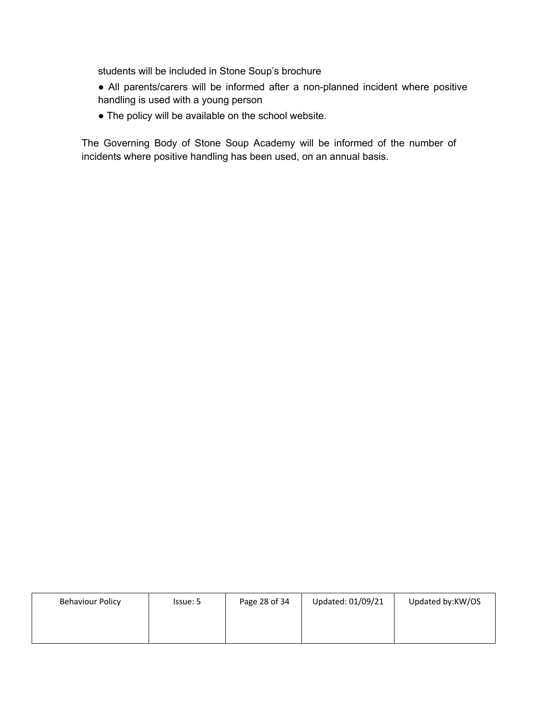students will be included in Stone Soup's brochure

- All parents/carers will be informed after a non-planned incident where positive handling is used with a young person
- The policy will be available on the school website.

The Governing Body of Stone Soup Academy will be informed of the number of incidents where positive handling has been used, on an annual basis.

| <b>Behaviour Policy</b> | Issue: 5 | Page 28 of 34 | Updated: 01/09/21 | Updated by:KW/OS |
|-------------------------|----------|---------------|-------------------|------------------|
|                         |          |               |                   |                  |
|                         |          |               |                   |                  |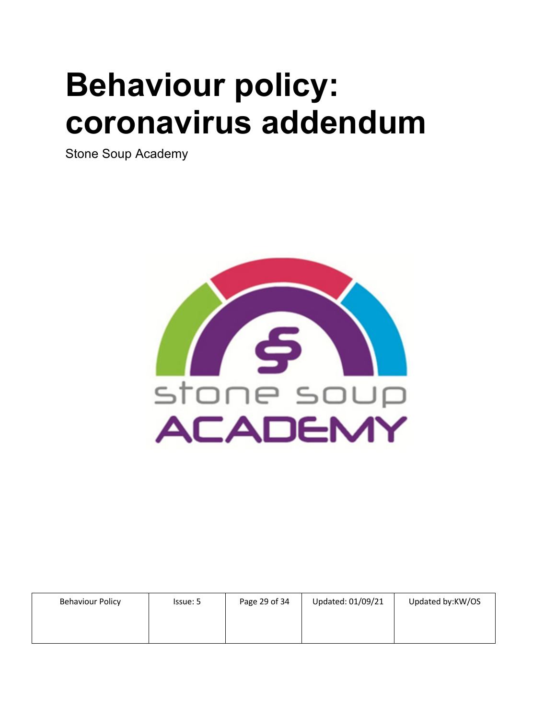# **Behaviour policy: coronavirus addendum**

Stone Soup Academy



| <b>Behaviour Policy</b> | Issue: 5 | Page 29 of 34 | Updated: 01/09/21 | Updated by:KW/OS |
|-------------------------|----------|---------------|-------------------|------------------|
|                         |          |               |                   |                  |
|                         |          |               |                   |                  |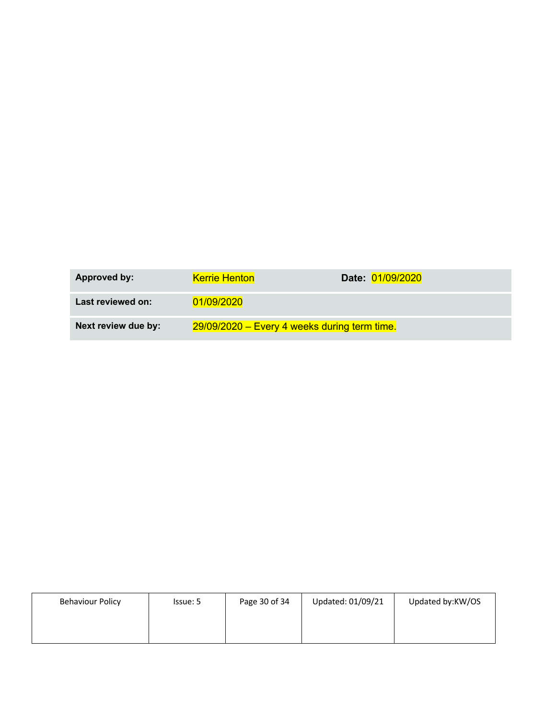| <b>Approved by:</b> | <b>Kerrie Henton</b>                         | Date: 01/09/2020 |
|---------------------|----------------------------------------------|------------------|
| Last reviewed on:   | 01/09/2020                                   |                  |
| Next review due by: | 29/09/2020 – Every 4 weeks during term time. |                  |

| <b>Behaviour Policy</b> | Issue: 5 | Page 30 of 34 | Updated: 01/09/21 | Updated by:KW/OS |
|-------------------------|----------|---------------|-------------------|------------------|
|                         |          |               |                   |                  |
|                         |          |               |                   |                  |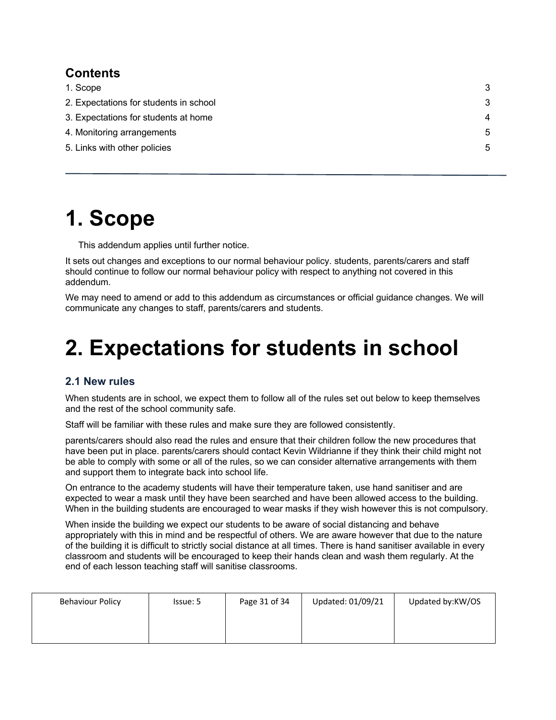#### **Contents**

| 3              |
|----------------|
| 3              |
| $\overline{4}$ |
| -5             |
| 5              |
|                |

## **1. Scope**

This addendum applies until further notice.

It sets out changes and exceptions to our normal behaviour policy. students, parents/carers and staff should continue to follow our normal behaviour policy with respect to anything not covered in this addendum.

We may need to amend or add to this addendum as circumstances or official guidance changes. We will communicate any changes to staff, parents/carers and students.

# **2. Expectations for students in school**

#### **2.1 New rules**

When students are in school, we expect them to follow all of the rules set out below to keep themselves and the rest of the school community safe.

Staff will be familiar with these rules and make sure they are followed consistently.

parents/carers should also read the rules and ensure that their children follow the new procedures that have been put in place. parents/carers should contact Kevin Wildrianne if they think their child might not be able to comply with some or all of the rules, so we can consider alternative arrangements with them and support them to integrate back into school life.

On entrance to the academy students will have their temperature taken, use hand sanitiser and are expected to wear a mask until they have been searched and have been allowed access to the building. When in the building students are encouraged to wear masks if they wish however this is not compulsory.

When inside the building we expect our students to be aware of social distancing and behave appropriately with this in mind and be respectful of others. We are aware however that due to the nature of the building it is difficult to strictly social distance at all times. There is hand sanitiser available in every classroom and students will be encouraged to keep their hands clean and wash them regularly. At the end of each lesson teaching staff will sanitise classrooms.

| <b>Behaviour Policy</b> | Issue: 5 | Page 31 of 34 | Updated: 01/09/21 | Updated by:KW/OS |
|-------------------------|----------|---------------|-------------------|------------------|
|                         |          |               |                   |                  |
|                         |          |               |                   |                  |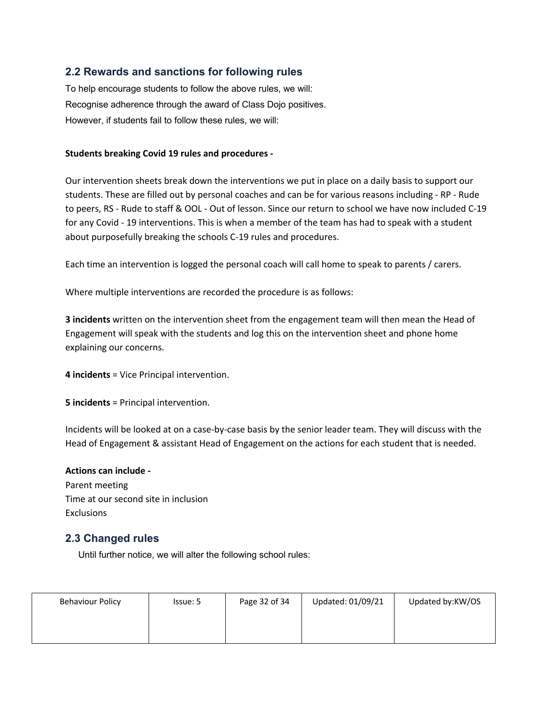#### **2.2 Rewards and sanctions for following rules**

To help encourage students to follow the above rules, we will: Recognise adherence through the award of Class Dojo positives. However, if students fail to follow these rules, we will:

#### **Students breaking Covid 19 rules and procedures -**

Our intervention sheets break down the interventions we put in place on a daily basis to support our students. These are filled out by personal coaches and can be for various reasons including - RP - Rude to peers, RS - Rude to staff & OOL - Out of lesson. Since our return to school we have now included C-19 for any Covid - 19 interventions. This is when a member of the team has had to speak with a student about purposefully breaking the schools C-19 rules and procedures.

Each time an intervention is logged the personal coach will call home to speak to parents / carers.

Where multiple interventions are recorded the procedure is as follows:

**3 incidents** written on the intervention sheet from the engagement team will then mean the Head of Engagement will speak with the students and log this on the intervention sheet and phone home explaining our concerns.

**4 incidents** = Vice Principal intervention.

**5 incidents** = Principal intervention.

Incidents will be looked at on a case-by-case basis by the senior leader team. They will discuss with the Head of Engagement & assistant Head of Engagement on the actions for each student that is needed.

#### **Actions can include -**

Parent meeting Time at our second site in inclusion Exclusions

#### **2.3 Changed rules**

Until further notice, we will alter the following school rules:

| <b>Behaviour Policy</b> | Issue: 5 | Page 32 of 34 | Updated: 01/09/21 | Updated by:KW/OS |
|-------------------------|----------|---------------|-------------------|------------------|
|                         |          |               |                   |                  |
|                         |          |               |                   |                  |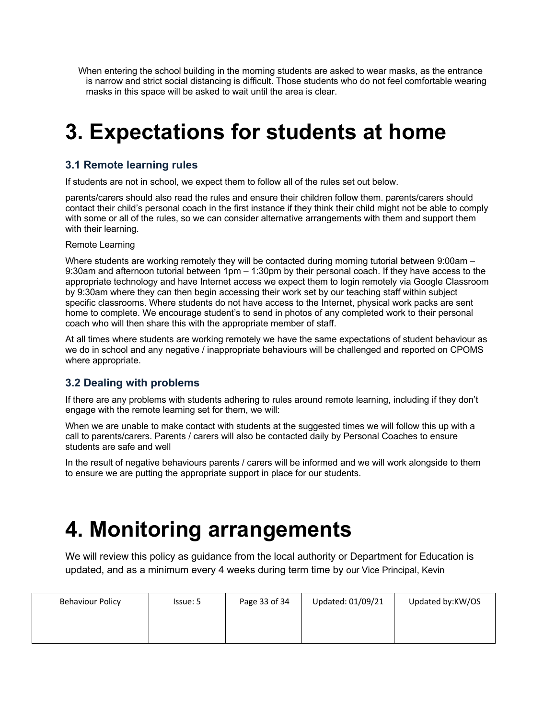When entering the school building in the morning students are asked to wear masks, as the entrance is narrow and strict social distancing is difficult. Those students who do not feel comfortable wearing masks in this space will be asked to wait until the area is clear.

# **3. Expectations for students at home**

#### **3.1 Remote learning rules**

If students are not in school, we expect them to follow all of the rules set out below.

parents/carers should also read the rules and ensure their children follow them. parents/carers should contact their child's personal coach in the first instance if they think their child might not be able to comply with some or all of the rules, so we can consider alternative arrangements with them and support them with their learning.

Remote Learning

Where students are working remotely they will be contacted during morning tutorial between 9:00am – 9:30am and afternoon tutorial between 1pm – 1:30pm by their personal coach. If they have access to the appropriate technology and have Internet access we expect them to login remotely via Google Classroom by 9:30am where they can then begin accessing their work set by our teaching staff within subject specific classrooms. Where students do not have access to the Internet, physical work packs are sent home to complete. We encourage student's to send in photos of any completed work to their personal coach who will then share this with the appropriate member of staff.

At all times where students are working remotely we have the same expectations of student behaviour as we do in school and any negative / inappropriate behaviours will be challenged and reported on CPOMS where appropriate.

#### **3.2 Dealing with problems**

If there are any problems with students adhering to rules around remote learning, including if they don't engage with the remote learning set for them, we will:

When we are unable to make contact with students at the suggested times we will follow this up with a call to parents/carers. Parents / carers will also be contacted daily by Personal Coaches to ensure students are safe and well

In the result of negative behaviours parents / carers will be informed and we will work alongside to them to ensure we are putting the appropriate support in place for our students.

### **4. Monitoring arrangements**

We will review this policy as guidance from the local authority or Department for Education is updated, and as a minimum every 4 weeks during term time by our Vice Principal, Kevin

| <b>Behaviour Policy</b> | Issue: 5 | Page 33 of 34 | Updated: 01/09/21 | Updated by:KW/OS |
|-------------------------|----------|---------------|-------------------|------------------|
|                         |          |               |                   |                  |
|                         |          |               |                   |                  |